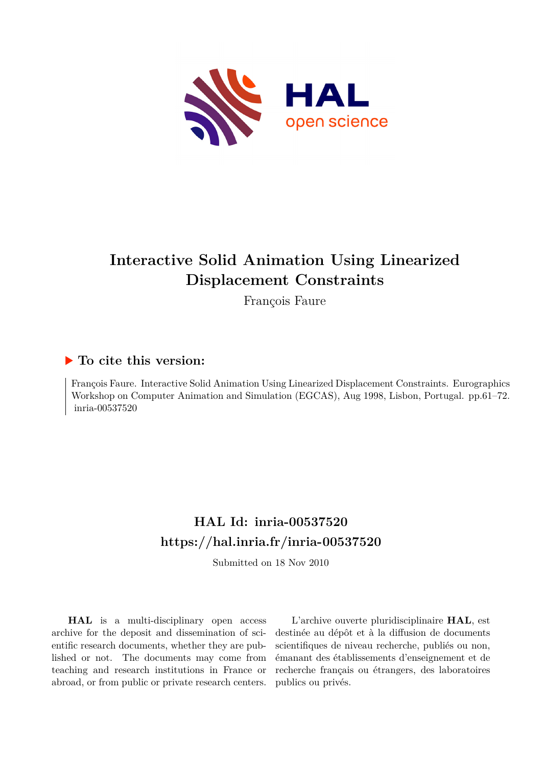

# **Interactive Solid Animation Using Linearized Displacement Constraints**

François Faure

## **To cite this version:**

François Faure. Interactive Solid Animation Using Linearized Displacement Constraints. Eurographics Workshop on Computer Animation and Simulation (EGCAS), Aug 1998, Lisbon, Portugal. pp.61–72. inria-00537520

# **HAL Id: inria-00537520 <https://hal.inria.fr/inria-00537520>**

Submitted on 18 Nov 2010

**HAL** is a multi-disciplinary open access archive for the deposit and dissemination of scientific research documents, whether they are published or not. The documents may come from teaching and research institutions in France or abroad, or from public or private research centers.

L'archive ouverte pluridisciplinaire **HAL**, est destinée au dépôt et à la diffusion de documents scientifiques de niveau recherche, publiés ou non, émanant des établissements d'enseignement et de recherche français ou étrangers, des laboratoires publics ou privés.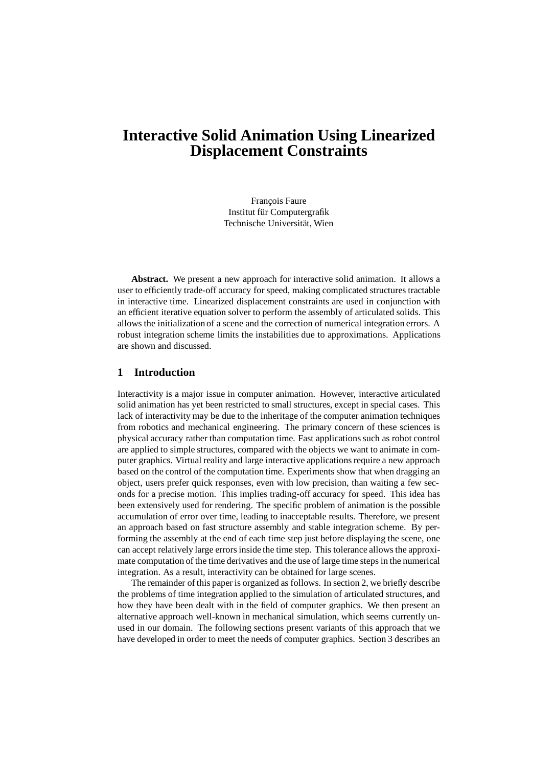# **Interactive Solid Animation Using Linearized Displacement Constraints**

François Faure Institut für Computergrafik Technische Universität, Wien

**Abstract.** We present a new approach for interactive solid animation. It allows a user to efficiently trade-off accuracy for speed, making complicated structures tractable in interactive time. Linearized displacement constraints are used in conjunction with an efficient iterative equation solver to perform the assembly of articulated solids. This allows the initialization of a scene and the correction of numerical integration errors. A robust integration scheme limits the instabilities due to approximations. Applications are shown and discussed.

## **1 Introduction**

Interactivity is a major issue in computer animation. However, interactive articulated solid animation has yet been restricted to small structures, except in special cases. This lack of interactivity may be due to the inheritage of the computer animation techniques from robotics and mechanical engineering. The primary concern of these sciences is physical accuracy rather than computation time. Fast applications such as robot control are applied to simple structures, compared with the objects we want to animate in computer graphics. Virtual reality and large interactive applications require a new approach based on the control of the computation time. Experiments show that when dragging an object, users prefer quick responses, even with low precision, than waiting a few seconds for a precise motion. This implies trading-off accuracy for speed. This idea has been extensively used for rendering. The specific problem of animation is the possible accumulation of error over time, leading to inacceptable results. Therefore, we present an approach based on fast structure assembly and stable integration scheme. By performing the assembly at the end of each time step just before displaying the scene, one can accept relatively large errors inside the time step. This tolerance allows the approximate computation of the time derivatives and the use of large time steps in the numerical integration. As a result, interactivity can be obtained for large scenes.

The remainder of this paper is organized as follows. In section 2, we briefly describe the problems of time integration applied to the simulation of articulated structures, and how they have been dealt with in the field of computer graphics. We then present an alternative approach well-known in mechanical simulation, which seems currently unused in our domain. The following sections present variants of this approach that we have developed in order to meet the needs of computer graphics. Section 3 describes an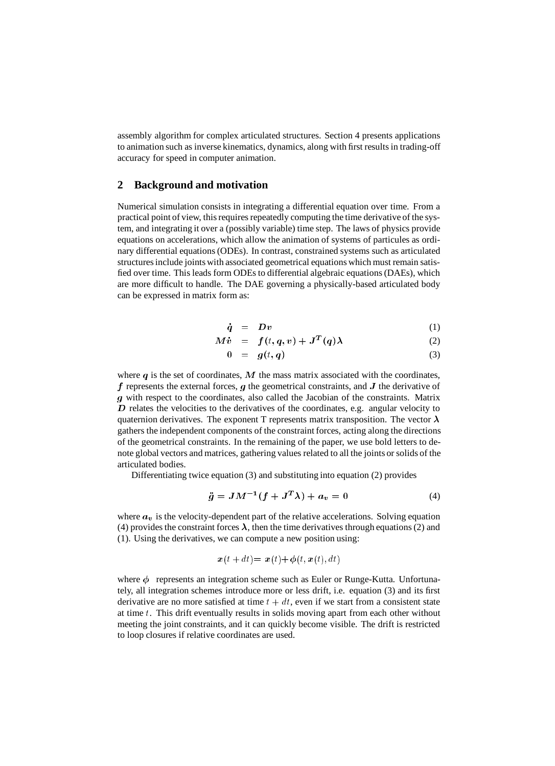assembly algorithm for complex articulated structures. Section 4 presents applications to animation such as inverse kinematics, dynamics, along with first results in trading-off accuracy for speed in computer animation.

## **2 Background and motivation**

Numerical simulation consists in integrating a differential equation over time. From a practical point of view, this requires repeatedly computing the time derivative of the system, and integrating it over a (possibly variable) time step. The laws of physics provide equations on accelerations, which allow the animation of systems of particules as ordinary differential equations (ODEs). In contrast, constrained systems such as articulated structures include joints with associated geometrical equations which must remain satisfied over time. This leads form ODEs to differential algebraic equations (DAEs), which are more difficult to handle. The DAE governing a physically-based articulated body can be expressed in matrix form as:

$$
\dot{q} = Dv \tag{1}
$$

$$
\mathbf{M}\dot{\mathbf{v}} = \mathbf{f}(t, q, \mathbf{v}) + \mathbf{J}^T(q)\boldsymbol{\lambda} \tag{2}
$$

$$
0 = g(t, q) \tag{3}
$$

where  $q$  is the set of coordinates,  $M$  the mass matrix associated with the coordinates,  $f$  represents the external forces,  $g$  the geometrical constraints, and  $J$  the derivative of g with respect to the coordinates, also called the Jacobian of the constraints. Matrix  $D$  relates the velocities to the derivatives of the coordinates, e.g. angular velocity to quaternion derivatives. The exponent T represents matrix transposition. The vector  $\lambda$ gathers the independent components of the constraint forces, acting along the directions of the geometrical constraints. In the remaining of the paper, we use bold letters to denote global vectors and matrices, gathering values related to all the joints or solids of the articulated bodies.

Differentiating twice equation (3) and substituting into equation (2) provides

$$
\ddot{g} = J M^{-1} (f + J^T \lambda) + a_v = 0 \tag{4}
$$

where  $a_v$  is the velocity-dependent part of the relative accelerations. Solving equation (4) provides the constraint forces  $\lambda$ , then the time derivatives through equations (2) and (1). Using the derivatives, we can compute a new position using:

$$
\boldsymbol{x}(t+dt) = \boldsymbol{x}(t) + \boldsymbol{\phi}(t, \boldsymbol{x}(t), dt)
$$

where  $\phi$  represents an integration scheme such as Euler or Runge-Kutta. Unfortunately, all integration schemes introduce more or less drift, i.e. equation (3) and its first derivative are no more satisfied at time  $t + dt$ , even if we start from a consistent state at time  $t$ . This drift eventually results in solids moving apart from each other without meeting the joint constraints, and it can quickly become visible. The drift is restricted to loop closures if relative coordinates are used.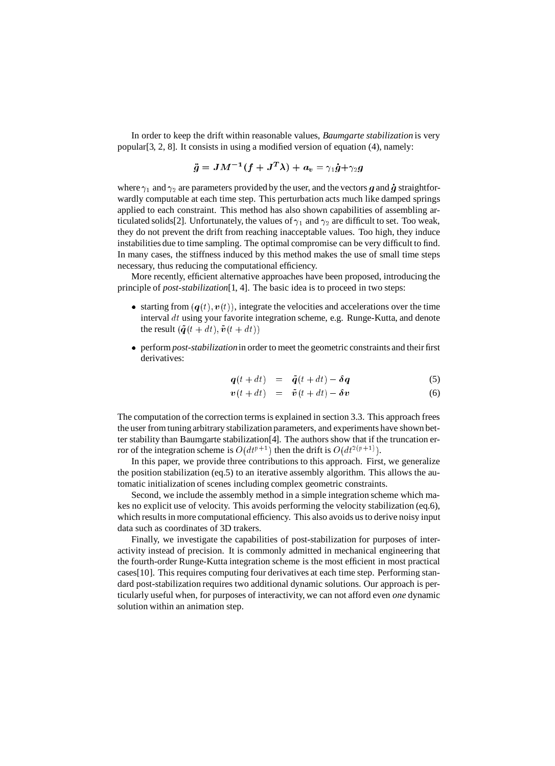In order to keep the drift within reasonable values, *Baumgarte stabilization* is very popular[3, 2, 8]. It consists in using a modified version of equation (4), namely:

$$
\ddot{g}=JM^{-1}(f+J^T\lambda)+a_v=\gamma_1g\!+\!\gamma_2g
$$

where  $\gamma_1$  and  $\gamma_2$  are parameters provided by the user, and the vectors g and g straightforwardly computable at each time step. This perturbation acts much like damped springs applied to each constraint. This method has also shown capabilities of assembling articulated solids[2]. Unfortunately, the values of  $\gamma_1$  and  $\gamma_2$  are difficult to set. Too weak, they do not prevent the drift from reaching inacceptable values. Too high, they induce instabilities due to time sampling. The optimal compromise can be very difficult to find. In many cases, the stiffness induced by this method makes the use of small time steps necessary, thus reducing the computational efficiency.

More recently, efficient alternative approaches have been proposed, introducing the principle of *post-stabilization*[1, 4]. The basic idea is to proceed in two steps:

- starting from  $(q(t), v(t))$ , integrate the velocities and accelerations over the time interval dt using your favorite integration scheme, e.g. Runge-Kutta, and denote the result  $(\tilde{q}(t + dt), \tilde{v}(t + dt))$
- perform *post-stabilization*in order to meet the geometric constraints and their first derivatives:

$$
q(t + dt) = \tilde{q}(t + dt) - \delta q \tag{5}
$$

$$
v(t+dt) = \tilde{v}(t+dt) - \delta v \tag{6}
$$

The computation of the correction terms is explained in section 3.3. This approach frees the user from tuningarbitrary stabilization parameters, and experiments have shown better stability than Baumgarte stabilization[4]. The authors show that if the truncation error of the integration scheme is  $O(dt^{p+1})$  then the drift is  $O(dt^{2(p+1)})$ .

In this paper, we provide three contributions to this approach. First, we generalize the position stabilization (eq.5) to an iterative assembly algorithm. This allows the automatic initialization of scenes including complex geometric constraints.

Second, we include the assembly method in a simple integration scheme which makes no explicit use of velocity. This avoids performing the velocity stabilization (eq.6), which results in more computational efficiency. This also avoids us to derive noisy input data such as coordinates of 3D trakers.

Finally, we investigate the capabilities of post-stabilization for purposes of interactivity instead of precision. It is commonly admitted in mechanical engineering that the fourth-order Runge-Kutta integration scheme is the most efficient in most practical cases[10]. This requires computing four derivatives at each time step. Performing standard post-stabilization requires two additional dynamic solutions. Our approach is perticularly useful when, for purposes of interactivity, we can not afford even *one* dynamic solution within an animation step.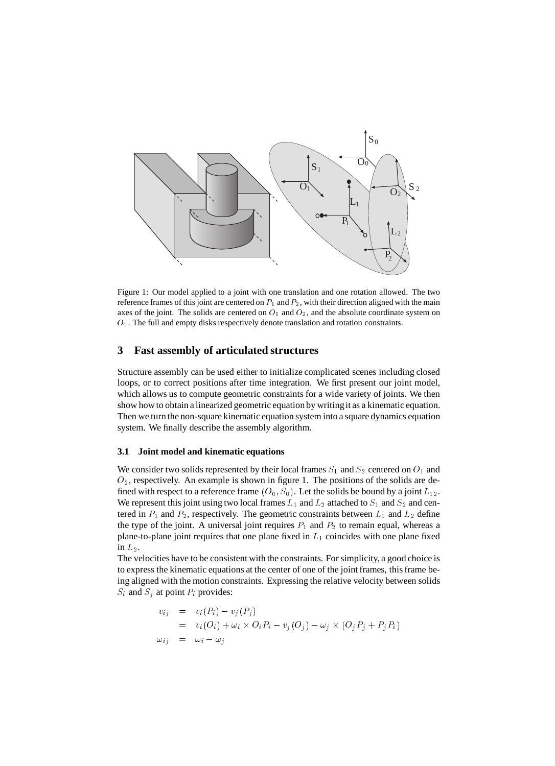

Figure 1: Our model applied to a joint with one translation and one rotation allowed. The two reference frames of this joint are centered on  $P_1$  and  $P_2$ , with their direction aligned with the main axes of the joint. The solids are centered on  $O_1$  and  $O_2$ , and the absolute coordinate system on  $O<sub>0</sub>$ . The full and empty disks respectively denote translation and rotation constraints.

## **3 Fast assembly of articulated structures**

Structure assembly can be used either to initialize complicated scenes including closed loops, or to correct positions after time integration. We first present our joint model, which allows us to compute geometric constraints for a wide variety of joints. We then show how to obtain a linearized geometric equation by writingit as a kinematic equation. Then we turn the non-square kinematic equation system into a square dynamics equation system. We finally describe the assembly algorithm.

#### **3.1 Joint model and kinematic equations**

We consider two solids represented by their local frames  $S_1$  and  $S_2$  centered on  $O_1$  and  $O_2$ , respectively. An example is shown in figure 1. The positions of the solids are defined with respect to a reference frame  $(O_0, S_0)$ . Let the solids be bound by a joint  $L_{12}$ . We represent this joint using two local frames  $L_1$  and  $L_2$  attached to  $S_1$  and  $S_2$  and centered in  $P_1$  and  $P_2$ , respectively. The geometric constraints between  $L_1$  and  $L_2$  define the type of the joint. A universal joint requires  $P_1$  and  $P_2$  to remain equal, whereas a plane-to-plane joint requires that one plane fixed in  $L_1$  coincides with one plane fixed in  $L_2$ .

The velocities have to be consistent with the constraints. For simplicity, a good choice is to express the kinematic equations at the center of one of the joint frames, this frame being aligned with the motion constraints. Expressing the relative velocity between solids  $S_i$  and  $S_j$  at point  $P_i$  provides:

$$
v_{ij} = v_i(P_i) - v_j(P_j)
$$
  
=  $v_i(O_i) + \omega_i \times O_i P_i - v_j(O_j) - \omega_j \times (O_j P_j + P_j P_i)$   

$$
\omega_{ij} = \omega_i - \omega_j
$$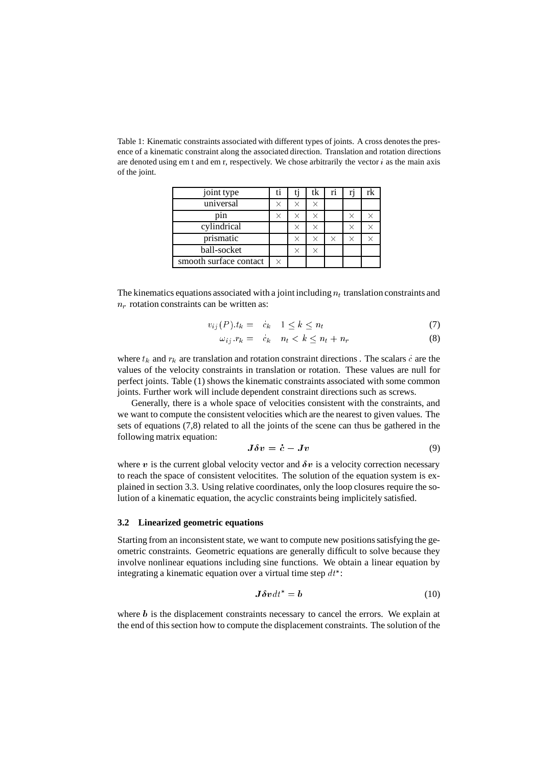Table 1: Kinematic constraints associated with different types of joints. A cross denotes the presence of a kinematic constraint along the associated direction. Translation and rotation directions are denoted using em t and em r, respectively. We chose arbitrarily the vector  $i$  as the main axis of the joint.

| joint type             |          | tk       | ri       |  |
|------------------------|----------|----------|----------|--|
| universal              | ×        | $\times$ |          |  |
| pin                    |          | ×        |          |  |
| cylindrical            |          | ×        |          |  |
| prismatic              |          | ×        | $\times$ |  |
| ball-socket            |          | $\times$ |          |  |
| smooth surface contact | $\times$ |          |          |  |

The kinematics equations associated with a joint including  $n_t$  translation constraints and  $n_r$  rotation constraints can be written as:

$$
v_{ij}(P) t_k = c_k \quad 1 \le k \le n_t \tag{7}
$$

$$
\omega_{ij} \cdot r_k = c_k \quad n_t < k \le n_t + n_r \tag{8}
$$

where  $t_k$  and  $r_k$  are translation and rotation constraint directions. The scalars c are the values of the velocity constraints in translation or rotation. These values are null for perfect joints. Table (1) shows the kinematic constraints associated with some common joints. Further work will include dependent constraint directions such as screws.

Generally, there is a whole space of velocities consistent with the constraints, and we want to compute the consistent velocities which are the nearest to given values. The sets of equations (7,8) related to all the joints of the scene can thus be gathered in the following matrix equation:

$$
J\delta v = \dot{c} - Jv \tag{9}
$$

where v is the current global velocity vector and  $\delta v$  is a velocity correction necessary to reach the space of consistent velocitites. The solution of the equation system is explained in section 3.3. Using relative coordinates, only the loop closures require the solution of a kinematic equation, the acyclic constraints being implicitely satisfied.

#### **3.2 Linearized geometric equations**

Starting from an inconsistent state, we want to compute new positions satisfying the geometric constraints. Geometric equations are generally difficult to solve because they involve nonlinear equations including sine functions. We obtain a linear equation by integrating a kinematic equation over a virtual time step  $dt^*$ :

$$
J\delta v dt^* = b \tag{10}
$$

where  **is the displacement constraints necessary to cancel the errors. We explain at** the end of this section how to compute the displacement constraints. The solution of the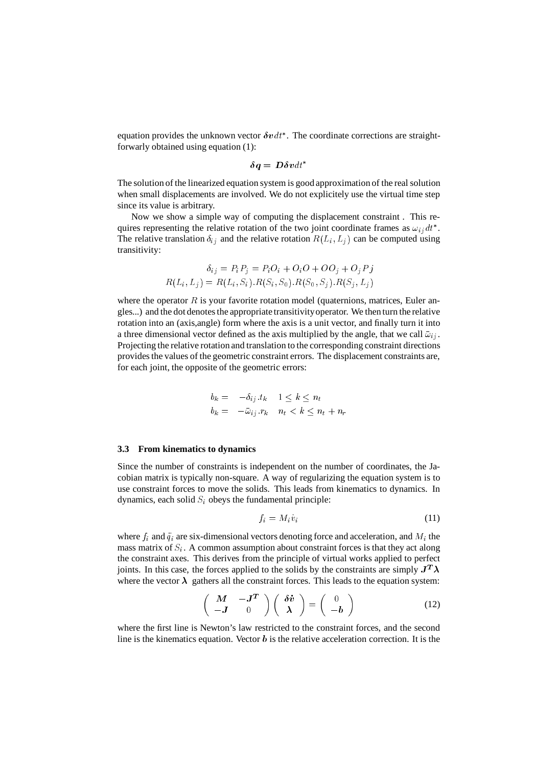equation provides the unknown vector  $\delta v dt^*$ . The coordinate corrections are straightforwarly obtained using equation (1):

$$
\boldsymbol{\delta q = D\boldsymbol{\delta}{v}{d}{t}^{\ast}}
$$

The solution of the linearized equation system is good approximation of the real solution when small displacements are involved. We do not explicitely use the virtual time step since its value is arbitrary.

Now we show a simple way of computing the displacement constraint . This requires representing the relative rotation of the two joint coordinate frames as  $\omega_{ij} dt^*$ . The relative translation  $\delta_{ij}$  and the relative rotation  $R(L_i, L_j)$  can be computed using transitivity:

$$
\delta_{ij} = P_i P_j = P_i O_i + O_i O + O O_j + O_j P j
$$
  

$$
R(L_i, L_j) = R(L_i, S_i) . R(S_i, S_0) . R(S_0, S_j) . R(S_i, L_j)
$$

where the operator  $R$  is your favorite rotation model (quaternions, matrices, Euler angles...) and the dot denotes the appropriate transitivityoperator. We then turn the relative rotation into an (axis,angle) form where the axis is a unit vector, and finally turn it into a three dimensional vector defined as the axis multiplied by the angle, that we call  $\bar{\omega}_{ij}$ . Projecting the relative rotation and translation to the corresponding constraint directions provides the values of the geometric constraint errors. The displacement constraints are, for each joint, the opposite of the geometric errors:

$$
b_k = -\delta_{ij} \cdot t_k \quad 1 \le k \le n_t
$$
  

$$
b_k = -\overline{\omega}_{ij} \cdot r_k \quad n_t < k \le n_t + n_r
$$

#### **3.3 From kinematics to dynamics**

Since the number of constraints is independent on the number of coordinates, the Jacobian matrix is typically non-square. A way of regularizing the equation system is to use constraint forces to move the solids. This leads from kinematics to dynamics. In dynamics, each solid  $S_i$  obeys the fundamental principle:

$$
f_i = M_i v_i \tag{11}
$$

where  $f_i$  and  $\ddot{q}_i$  are six-dimensional vectors denoting force and acceleration, and  $M_i$  the mass matrix of  $S_i$ . A common assumption about constraint forces is that they act along the constraint axes. This derives from the principle of virtual works applied to perfect joints. In this case, the forces applied to the solids by the constraints are simply  $J^T \lambda$ where the vector  $\lambda$  gathers all the constraint forces. This leads to the equation system:

$$
\begin{pmatrix}\nM & -J^T \\
-J & 0\n\end{pmatrix}\n\begin{pmatrix}\n\delta \dot{v} \\
\lambda\n\end{pmatrix} =\n\begin{pmatrix}\n0 \\
-b\n\end{pmatrix}
$$
\n(12)

where the first line is Newton's law restricted to the constraint forces, and the second line is the kinematics equation. Vector  $\boldsymbol{b}$  is the relative acceleration correction. It is the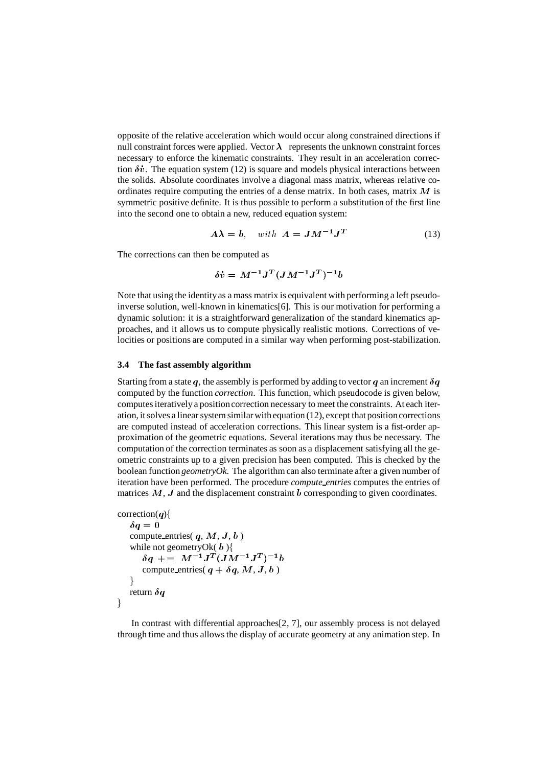opposite of the relative acceleration which would occur along constrained directions if null constraint forces were applied. Vector  $\lambda$  represents the unknown constraint forces necessary to enforce the kinematic constraints. They result in an acceleration correction  $\delta v$ . The equation system (12) is square and models physical interactions between the solids. Absolute coordinates involve a diagonal mass matrix, whereas relative coordinates require computing the entries of a dense matrix. In both cases, matrix  $M$  is symmetric positive definite. It is thus possible to perform a substitution of the first line into the second one to obtain a new, reduced equation system:

$$
A\lambda = b, \quad with \quad A = J M^{-1} J^T \tag{13}
$$

The corrections can then be computed as

$$
\delta v = M^{-1}J^T(JM^{-1}J^T)^{-1}b
$$

Note that using the identityas a mass matrix is equivalent with performing a left pseudoinverse solution, well-known in kinematics[6]. This is our motivation for performing a dynamic solution: it is a straightforward generalization of the standard kinematics approaches, and it allows us to compute physically realistic motions. Corrections of velocities or positions are computed in a similar way when performing post-stabilization.

#### **3.4 The fast assembly algorithm**

Starting from a state q, the assembly is performed by adding to vector q an increment  $\delta q$ computed by the function *correction*. This function, which pseudocode is given below, computes iteratively a position correction necessary to meet the constraints. At each iteration, it solves a linear system similar with equation (12), except that positioncorrections are computed instead of acceleration corrections. This linear system is a fist-order approximation of the geometric equations. Several iterations may thus be necessary. The computation of the correction terminates as soon as a displacement satisfying all the geometric constraints up to a given precision has been computed. This is checked by the boolean function *geometryOk*. The algorithm can also terminate after a given number of iteration have been performed. The procedure *compute entries* computes the entries of matrices  $M, J$  and the displacement constraint  $b$  corresponding to given coordinates.

```
correction(q){
    \delta q = 0compute entries(q, M, J, b)
    while not geometryOk(b){
        g_0 + \equiv M^{-1}J^{-1}(JM^{-1}J^{-1})^{-1}bcompute entries(q + \delta q, M, J, b)
    graduate and the contract of the contract of
    return \delta q\}
```
In contrast with differential approaches[2, 7], our assembly process is not delayed through time and thus allows the display of accurate geometry at any animation step. In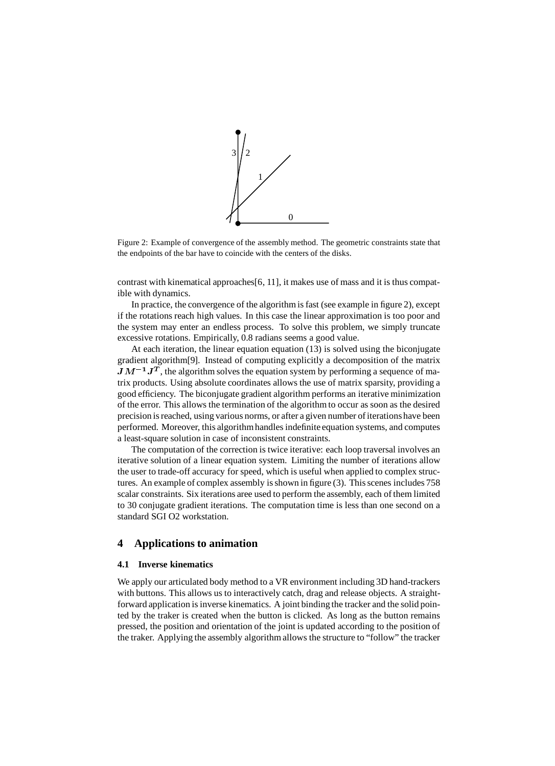

Figure 2: Example of convergence of the assembly method. The geometric constraints state that the endpoints of the bar have to coincide with the centers of the disks.

contrast with kinematical approaches  $[6, 11]$ , it makes use of mass and it is thus compatible with dynamics.

In practice, the convergence of the algorithm is fast (see example in figure 2), except if the rotations reach high values. In this case the linear approximation is too poor and the system may enter an endless process. To solve this problem, we simply truncate excessive rotations. Empirically, 0.8 radians seems a good value.

At each iteration, the linear equation equation (13) is solved using the biconjugate gradient algorithm[9]. Instead of computing explicitly a decomposition of the matrix  $JM^{-1}J^T$ , the algorithm solves the equation system by performing a sequence of matrix products. Using absolute coordinates allows the use of matrix sparsity, providing a good efficiency. The biconjugate gradient algorithm performs an iterative minimization of the error. This allows the termination of the algorithm to occur as soon as the desired precision is reached, using various norms, or after a given number of iterations have been performed. Moreover, this algorithm handles indefinite equation systems, and computes a least-square solution in case of inconsistent constraints.

The computation of the correction is twice iterative: each loop traversal involves an iterative solution of a linear equation system. Limiting the number of iterations allow the user to trade-off accuracy for speed, which is useful when applied to complex structures. An example of complex assembly is shown in figure (3). This scenes includes 758 scalar constraints. Six iterations aree used to perform the assembly, each of them limited to 30 conjugate gradient iterations. The computation time is less than one second on a standard SGI O2 workstation.

### **4 Applications to animation**

#### **4.1 Inverse kinematics**

We apply our articulated body method to a VR environment including 3D hand-trackers with buttons. This allows us to interactively catch, drag and release objects. A straightforward application is inverse kinematics. A joint binding the tracker and the solid pointed by the traker is created when the button is clicked. As long as the button remains pressed, the position and orientation of the joint is updated according to the position of the traker. Applying the assembly algorithm allows the structure to "follow" the tracker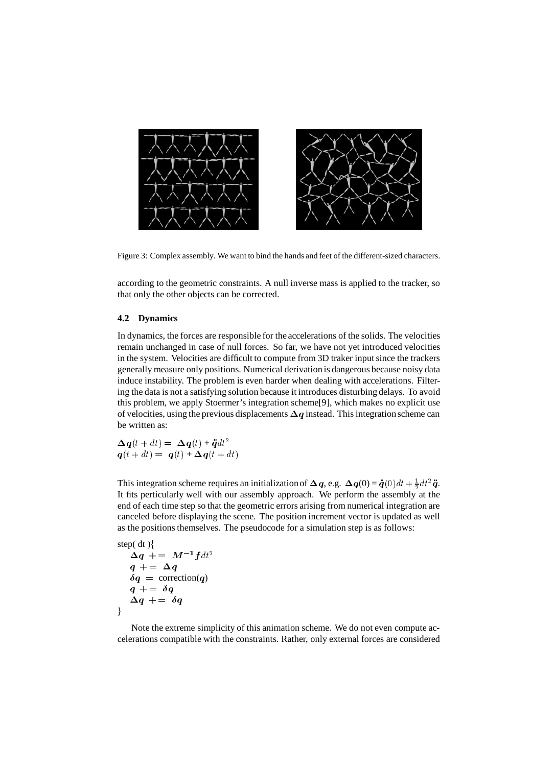

Figure 3: Complex assembly. We want to bind the hands and feet of the different-sized characters.

according to the geometric constraints. A null inverse mass is applied to the tracker, so that only the other objects can be corrected.

#### **4.2 Dynamics**

In dynamics, the forces are responsible for the accelerations of the solids. The velocities remain unchanged in case of null forces. So far, we have not yet introduced velocities in the system. Velocities are difficult to compute from 3D traker input since the trackers generally measure only positions. Numerical derivation is dangerous because noisy data induce instability. The problem is even harder when dealing with accelerations. Filtering the data is not a satisfying solution because it introduces disturbing delays. To avoid this problem, we apply Stoermer's integration scheme[9], which makes no explicit use of velocities, using the previous displacements  $\Delta q$  instead. This integration scheme can be written as:

 $\Delta q(t + dt) = \Delta q(t) + \ddot{q} dt^2$  $q(t + dt) = q(t) + \Delta q(t + dt)$ 

This integration scheme requires an initialization of  $\Delta q$ , e.g.  $\Delta q(0) = \dot{q}(0)dt + \frac{1}{2}dt^2\ddot{q}$ . It fits perticularly well with our assembly approach. We perform the assembly at the end of each time step so that the geometric errors arising from numerical integration are canceled before displaying the scene. The position increment vector is updated as well as the positions themselves. The pseudocode for a simulation step is as follows:

```
step(\mathrm{d}t)\Delta q + = M^{-1} f dt^2q + = \Delta q\delta q = correction(q)
    q + = \delta q\Delta q + = \delta q
```
 $\}$ 

Note the extreme simplicity of this animation scheme. We do not even compute accelerations compatible with the constraints. Rather, only external forces are considered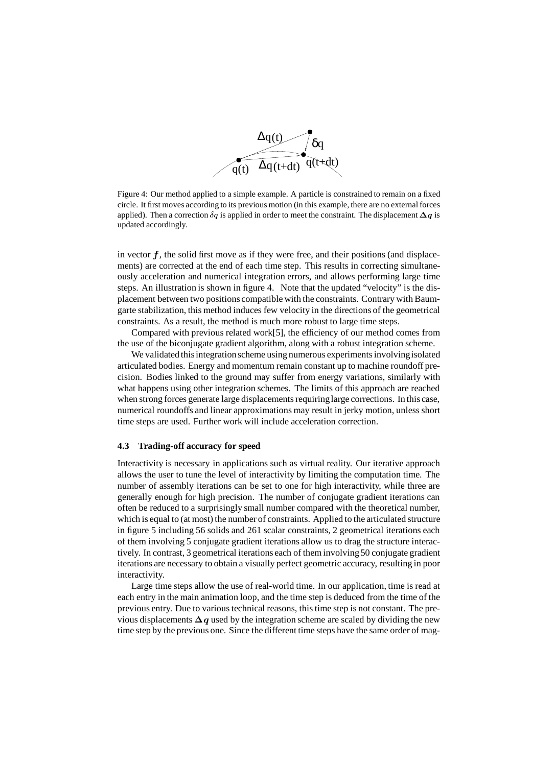

Figure 4: Our method applied to a simple example. A particle is constrained to remain on a fixed circle. It first moves according to its previous motion (in this example, there are no external forces applied). Then a correction  $\delta q$  is applied in order to meet the constraint. The displacement  $\Delta q$  is updated accordingly.

in vector  $f$ , the solid first move as if they were free, and their positions (and displacements) are corrected at the end of each time step. This results in correcting simultaneously acceleration and numerical integration errors, and allows performing large time steps. An illustration is shown in figure 4. Note that the updated "velocity" is the displacement between two positions compatible with the constraints. Contrary with Baumgarte stabilization, this method induces few velocity in the directions of the geometrical constraints. As a result, the method is much more robust to large time steps.

Compared with previous related work[5], the efficiency of our method comes from the use of the biconjugate gradient algorithm, along with a robust integration scheme.

We validated this integration scheme using numerous experiments involving isolated articulated bodies. Energy and momentum remain constant up to machine roundoff precision. Bodies linked to the ground may suffer from energy variations, similarly with what happens using other integration schemes. The limits of this approach are reached when strong forces generate large displacements requiringlarge corrections. In this case, numerical roundoffs and linear approximations may result in jerky motion, unless short time steps are used. Further work will include acceleration correction.

#### **4.3 Trading-off accuracy for speed**

Interactivity is necessary in applications such as virtual reality. Our iterative approach allows the user to tune the level of interactivity by limiting the computation time. The number of assembly iterations can be set to one for high interactivity, while three are generally enough for high precision. The number of conjugate gradient iterations can often be reduced to a surprisingly small number compared with the theoretical number, which is equal to (at most) the number of constraints. Applied to the articulated structure in figure 5 including 56 solids and 261 scalar constraints, 2 geometrical iterations each of them involving 5 conjugate gradient iterations allow us to drag the structure interactively. In contrast, 3 geometrical iterations each of them involving50 conjugate gradient iterations are necessary to obtain a visually perfect geometric accuracy, resulting in poor interactivity.

Large time steps allow the use of real-world time. In our application, time is read at each entry in the main animation loop, and the time step is deduced from the time of the previous entry. Due to various technical reasons, this time step is not constant. The previous displacements  $\Delta q$  used by the integration scheme are scaled by dividing the new time step by the previous one. Since the different time steps have the same order of mag-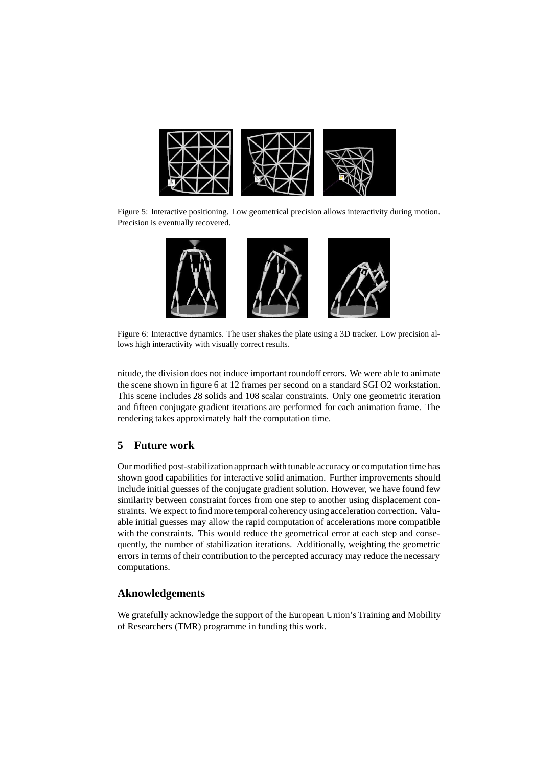

Figure 5: Interactive positioning. Low geometrical precision allows interactivity during motion. Precision is eventually recovered.



Figure 6: Interactive dynamics. The user shakes the plate using a 3D tracker. Low precision allows high interactivity with visually correct results.

nitude, the division does not induce important roundoff errors. We were able to animate the scene shown in figure 6 at 12 frames per second on a standard SGI O2 workstation. This scene includes 28 solids and 108 scalar constraints. Only one geometric iteration and fifteen conjugate gradient iterations are performed for each animation frame. The rendering takes approximately half the computation time.

## **5 Future work**

Our modified post-stabilizationapproach with tunable accuracy or computation time has shown good capabilities for interactive solid animation. Further improvements should include initial guesses of the conjugate gradient solution. However, we have found few similarity between constraint forces from one step to another using displacement constraints. We expect to find more temporal coherency using acceleration correction. Valuable initial guesses may allow the rapid computation of accelerations more compatible with the constraints. This would reduce the geometrical error at each step and consequently, the number of stabilization iterations. Additionally, weighting the geometric errors in terms of their contribution to the percepted accuracy may reduce the necessary computations.

## **Aknowledgements**

We gratefully acknowledge the support of the European Union's Training and Mobility of Researchers (TMR) programme in funding this work.